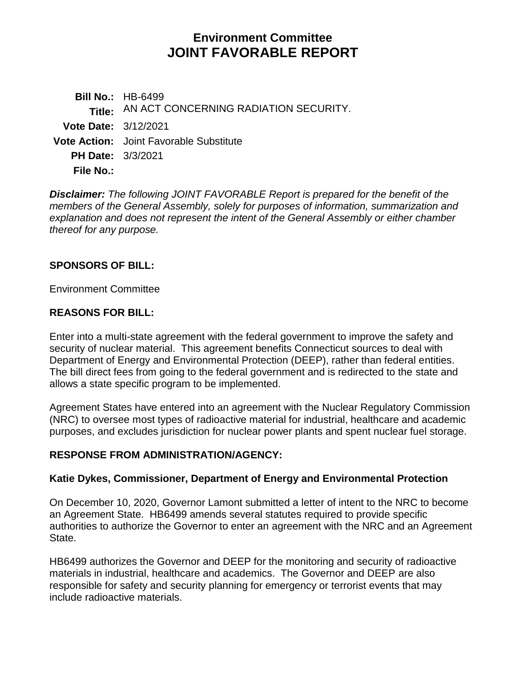# **Environment Committee JOINT FAVORABLE REPORT**

**Bill No.:** HB-6499 **Title:** AN ACT CONCERNING RADIATION SECURITY. **Vote Date:** 3/12/2021 **Vote Action:** Joint Favorable Substitute **PH Date:** 3/3/2021 **File No.:**

*Disclaimer: The following JOINT FAVORABLE Report is prepared for the benefit of the members of the General Assembly, solely for purposes of information, summarization and explanation and does not represent the intent of the General Assembly or either chamber thereof for any purpose.*

### **SPONSORS OF BILL:**

Environment Committee

### **REASONS FOR BILL:**

Enter into a multi-state agreement with the federal government to improve the safety and security of nuclear material. This agreement benefits Connecticut sources to deal with Department of Energy and Environmental Protection (DEEP), rather than federal entities. The bill direct fees from going to the federal government and is redirected to the state and allows a state specific program to be implemented.

Agreement States have entered into an agreement with the Nuclear Regulatory Commission (NRC) to oversee most types of radioactive material for industrial, healthcare and academic purposes, and excludes jurisdiction for nuclear power plants and spent nuclear fuel storage.

#### **RESPONSE FROM ADMINISTRATION/AGENCY:**

#### **Katie Dykes, Commissioner, Department of Energy and Environmental Protection**

On December 10, 2020, Governor Lamont submitted a letter of intent to the NRC to become an Agreement State. HB6499 amends several statutes required to provide specific authorities to authorize the Governor to enter an agreement with the NRC and an Agreement State.

HB6499 authorizes the Governor and DEEP for the monitoring and security of radioactive materials in industrial, healthcare and academics. The Governor and DEEP are also responsible for safety and security planning for emergency or terrorist events that may include radioactive materials.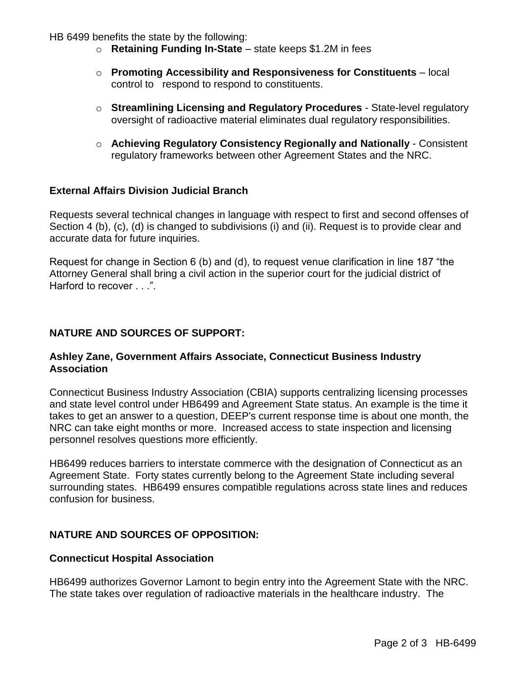HB 6499 benefits the state by the following:

- o **Retaining Funding In-State** state keeps \$1.2M in fees
- o **Promoting Accessibility and Responsiveness for Constituents** local control to respond to respond to constituents.
- o **Streamlining Licensing and Regulatory Procedures** State-level regulatory oversight of radioactive material eliminates dual regulatory responsibilities.
- o **Achieving Regulatory Consistency Regionally and Nationally** Consistent regulatory frameworks between other Agreement States and the NRC.

#### **External Affairs Division Judicial Branch**

Requests several technical changes in language with respect to first and second offenses of Section 4 (b), (c), (d) is changed to subdivisions (i) and (ii). Request is to provide clear and accurate data for future inquiries.

Request for change in Section 6 (b) and (d), to request venue clarification in line 187 "the Attorney General shall bring a civil action in the superior court for the judicial district of Harford to recover . . .".

#### **NATURE AND SOURCES OF SUPPORT:**

#### **Ashley Zane, Government Affairs Associate, Connecticut Business Industry Association**

Connecticut Business Industry Association (CBIA) supports centralizing licensing processes and state level control under HB6499 and Agreement State status. An example is the time it takes to get an answer to a question, DEEP's current response time is about one month, the NRC can take eight months or more. Increased access to state inspection and licensing personnel resolves questions more efficiently.

HB6499 reduces barriers to interstate commerce with the designation of Connecticut as an Agreement State. Forty states currently belong to the Agreement State including several surrounding states. HB6499 ensures compatible regulations across state lines and reduces confusion for business.

## **NATURE AND SOURCES OF OPPOSITION:**

#### **Connecticut Hospital Association**

HB6499 authorizes Governor Lamont to begin entry into the Agreement State with the NRC. The state takes over regulation of radioactive materials in the healthcare industry. The